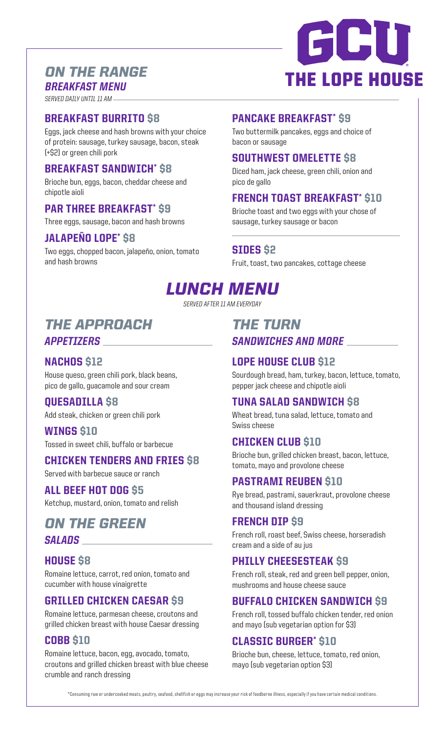# *ON THE RANGE BREAKFAST MENU*

#### *SERVED DAILY UNTIL 11 AM*

### BREAKFAST BURRITO \$8

Eggs, jack cheese and hash browns with your choice of protein: sausage, turkey sausage, bacon, steak (+\$2) or green chili pork

### BREAKFAST SANDWICH\* \$8

Brioche bun, eggs, bacon, cheddar cheese and chipotle aioli

#### PAR THREE BREAKFAST\* \$9

Three eggs, sausage, bacon and hash browns

### JALAPEÑO LOPE\* \$8

Two eggs, chopped bacon, jalapeño, onion, tomato and hash browns

### PANCAKE BREAKFAST\* \$9

Two buttermilk pancakes, eggs and choice of bacon or sausage

### SOUTHWEST OMELETTE \$8

Diced ham, jack cheese, green chili, onion and pico de gallo

## FRENCH TOAST BREAKFAST\* \$10

Brioche toast and two eggs with your chose of sausage, turkey sausage or bacon

#### SIDES \$2

Fruit, toast, two pancakes, cottage cheese

# *LUNCH MENU*

*SERVED AFTER 11 AM EVERYDAY*

# *THE APPROACH APPETIZERS*

### NACHOS \$12

House queso, green chili pork, black beans, pico de gallo, guacamole and sour cream

#### QUESADILLA \$8

Add steak, chicken or green chili pork

#### WINGS \$10

Tossed in sweet chili, buffalo or barbecue

## CHICKEN TENDERS AND FRIES \$8

Served with barbecue sauce or ranch

### ALL BEEF HOT DOG \$5

Ketchup, mustard, onion, tomato and relish

# *ON THE GREEN SALADS*

### HOUSE \$8

Romaine lettuce, carrot, red onion, tomato and cucumber with house vinaigrette

### GRILLED CHICKEN CAESAR \$9

Romaine lettuce, parmesan cheese, croutons and grilled chicken breast with house Caesar dressing

### COBB \$10

Romaine lettuce, bacon, egg, avocado, tomato, croutons and grilled chicken breast with blue cheese crumble and ranch dressing

# *THE TURN SANDWICHES AND MORE*

### LOPE HOUSE CLUB \$12

Sourdough bread, ham, turkey, bacon, lettuce, tomato, pepper jack cheese and chipotle aioli

#### TUNA SALAD SANDWICH \$8

Wheat bread, tuna salad, lettuce, tomato and Swiss cheese

## CHICKEN CLUB \$10

Brioche bun, grilled chicken breast, bacon, lettuce, tomato, mayo and provolone cheese

### PASTRAMI REUBEN \$10

Rye bread, pastrami, sauerkraut, provolone cheese and thousand island dressing

### FRENCH DIP \$9

French roll, roast beef, Swiss cheese, horseradish cream and a side of au jus

### PHILLY CHEESESTEAK \$9

French roll, steak, red and green bell pepper, onion, mushrooms and house cheese sauce

#### BUFFALO CHICKEN SANDWICH \$9

French roll, tossed buffalo chicken tender, red onion and mayo (sub vegetarian option for \$3)

### CLASSIC BURGER\* \$10

Brioche bun, cheese, lettuce, tomato, red onion, mayo (sub vegetarian option \$3)

\*Consuming raw or undercooked meats, poultry, seafood, shellfish or eggs may increase your risk of foodborne illness, especially if you have certain medical conditions

# CCU **THE LOPE HOUSE**